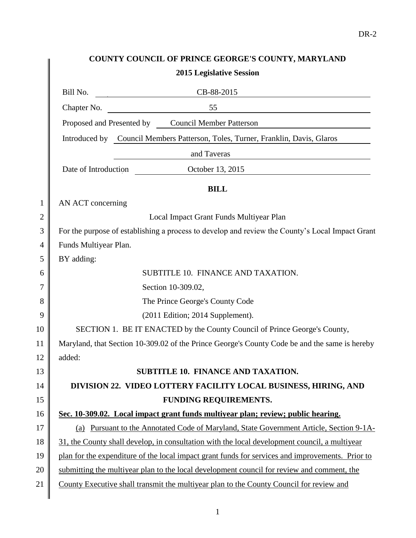## **COUNTY COUNCIL OF PRINCE GEORGE'S COUNTY, MARYLAND 2015 Legislative Session** Bill No. CB-88-2015 Chapter No. 55 Proposed and Presented by Council Member Patterson

Introduced by Council Members Patterson, Toles, Turner, Franklin, Davis, Glaros

and Taveras

Date of Introduction October 13, 2015

**BILL**

1 AN ACT concerning

2 Local Impact Grant Funds Multiyear Plan

3 For the purpose of establishing a process to develop and review the County's Local Impact Grant 4 | Funds Multiyear Plan.

 $5 \parallel$  BY adding:

 $\mathsf{l}$ 

| 6  | SUBTITLE 10. FINANCE AND TAXATION.                                                               |
|----|--------------------------------------------------------------------------------------------------|
| 7  | Section 10-309.02,                                                                               |
| 8  | The Prince George's County Code                                                                  |
| 9  | $(2011$ Edition; 2014 Supplement).                                                               |
| 10 | SECTION 1. BE IT ENACTED by the County Council of Prince George's County,                        |
| 11 | Maryland, that Section 10-309.02 of the Prince George's County Code be and the same is hereby    |
| 12 | added:                                                                                           |
| 13 | <b>SUBTITLE 10. FINANCE AND TAXATION.</b>                                                        |
| 14 | DIVISION 22. VIDEO LOTTERY FACILITY LOCAL BUSINESS, HIRING, AND                                  |
| 15 | FUNDING REQUIREMENTS.                                                                            |
| 16 | Sec. 10-309.02. Local impact grant funds multiyear plan; review; public hearing.                 |
| 17 | Pursuant to the Annotated Code of Maryland, State Government Article, Section 9-1A-<br>(a)       |
| 18 | 31, the County shall develop, in consultation with the local development council, a multiyear    |
| 19 | plan for the expenditure of the local impact grant funds for services and improvements. Prior to |
| 20 | submitting the multiyear plan to the local development council for review and comment, the       |
| 21 | County Executive shall transmit the multiyear plan to the County Council for review and          |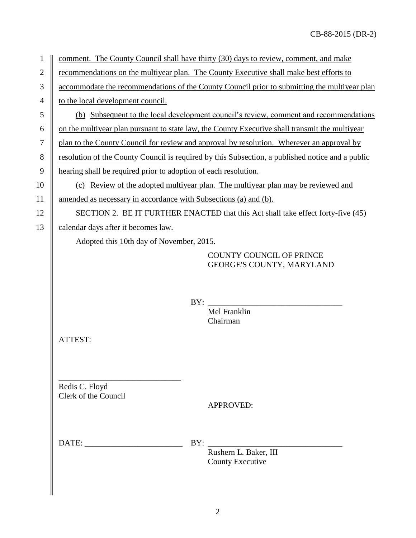| 1              | comment. The County Council shall have thirty (30) days to review, comment, and make             |
|----------------|--------------------------------------------------------------------------------------------------|
| $\overline{2}$ | recommendations on the multiyear plan. The County Executive shall make best efforts to           |
| 3              | accommodate the recommendations of the County Council prior to submitting the multiyear plan     |
| 4              | to the local development council.                                                                |
| 5              | (b) Subsequent to the local development council's review, comment and recommendations            |
| 6              | on the multiyear plan pursuant to state law, the County Executive shall transmit the multiyear   |
| 7              | plan to the County Council for review and approval by resolution. Wherever an approval by        |
| 8              | resolution of the County Council is required by this Subsection, a published notice and a public |
| 9              | hearing shall be required prior to adoption of each resolution.                                  |
| 10             | (c) Review of the adopted multiyear plan. The multiyear plan may be reviewed and                 |
| 11             | amended as necessary in accordance with Subsections (a) and (b).                                 |
| 12             | SECTION 2. BE IT FURTHER ENACTED that this Act shall take effect forty-five (45)                 |
| 13             | calendar days after it becomes law.                                                              |
|                | Adopted this 10th day of November, 2015.                                                         |
|                | <b>COUNTY COUNCIL OF PRINCE</b><br>GEORGE'S COUNTY, MARYLAND                                     |
|                | BY:<br>Mel Franklin                                                                              |
|                | Chairman                                                                                         |
|                | ATTEST:                                                                                          |
|                | Redis C. Floyd<br>Clerk of the Council<br><b>APPROVED:</b>                                       |
|                | DATE:<br>BY:<br>Rushern L. Baker, III<br><b>County Executive</b>                                 |
|                |                                                                                                  |